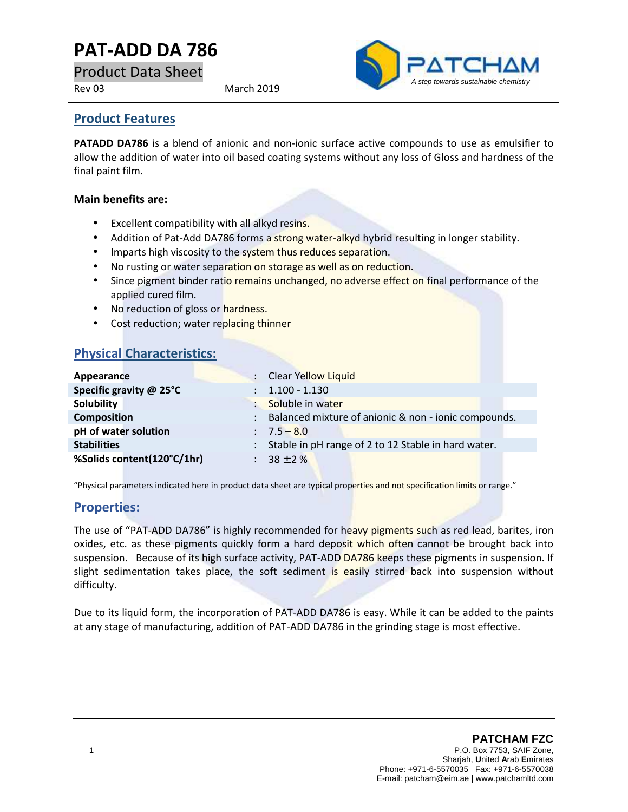# **PAT-ADD DA 786**

Product Data Sheet

Rev 03 March 2019



### **Product Features**

**PATADD DA786** is a blend of anionic and non-ionic surface active compounds to use as emulsifier to allow the addition of water into oil based coating systems without any loss of Gloss and hardness of the final paint film.

#### **Main benefits are:**

- **Excellent compatibility with all alkyd resins.**
- Addition of Pat-Add DA786 forms a strong water-alkyd hybrid resulting in longer stability.
- Imparts high viscosity to the system thus reduces separation.
- No rusting or water separation on storage as well as on reduction.
- Since pigment binder ratio remains unchanged, no adverse effect on final performance of the applied cured film.
- No reduction of gloss or hardness.
- Cost reduction; water replacing thinner

## **Physical Characteristics:**

| Appearance                 | : Clear Yellow Liquid                                 |
|----------------------------|-------------------------------------------------------|
| Specific gravity @ 25°C    | $: 1.100 - 1.130$                                     |
| Solubility                 | Soluble in water                                      |
| <b>Composition</b>         | Balanced mixture of anionic & non - ionic compounds.  |
| pH of water solution       | $: 7.5 - 8.0$                                         |
| <b>Stabilities</b>         | : Stable in pH range of 2 to 12 Stable in hard water. |
| %Solids content(120°C/1hr) | : $38 \pm 2\%$                                        |
|                            |                                                       |

"Physical parameters indicated here in product data sheet are typical properties and not specification limits or range."

#### **Properties:**

The use of "PAT-ADD DA786" is highly recommended for heavy pigments such as red lead, barites, iron oxides, etc. as these pigments quickly form a hard deposit which often cannot be brought back into suspension. Because of its high surface activity, PAT-ADD DA786 keeps these pigments in suspension. If slight sedimentation takes place, the soft sediment is easily stirred back into suspension without difficulty.

Due to its liquid form, the incorporation of PAT-ADD DA786 is easy. While it can be added to the paints at any stage of manufacturing, addition of PAT-ADD DA786 in the grinding stage is most effective.